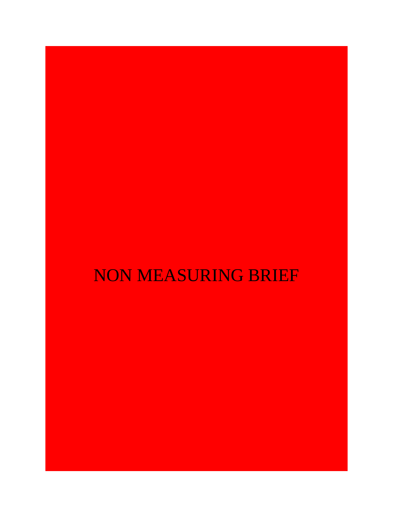# NON MEASURING BRIEF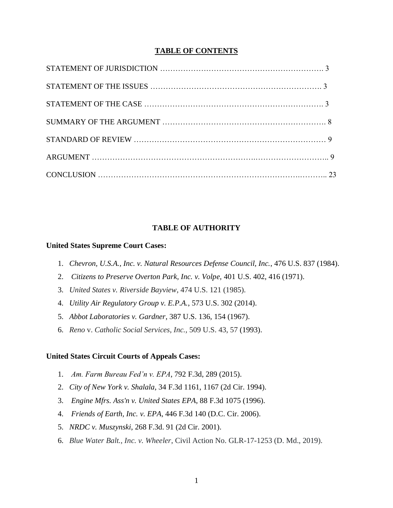## **TABLE OF CONTENTS**

## **TABLE OF AUTHORITY**

#### **United States Supreme Court Cases:**

- 1. *Chevron, U.S.A., Inc. v. Natural Resources Defense Council, Inc.*, 476 U.S. 837 (1984).
- 2. *Citizens to Preserve Overton Park, Inc. v. Volpe,* 401 U.S. 402, 416 (1971).
- 3. *United States v. Riverside Bayview*, 474 U.S. 121 (1985).
- 4. *Utility Air Regulatory Group v. E.P.A.*, 573 U.S. 302 (2014).
- 5. *Abbot Laboratories v. Gardner*, 387 U.S. 136, 154 (1967).
- 6. *Reno* v. *Catholic Social Services, Inc.,* 509 U.S. 43, 57 (1993).

#### **United States Circuit Courts of Appeals Cases:**

- 1. *Am. Farm Bureau Fed'n v. EPA*, 792 F.3d, 289 (2015).
- 2. *City of New York v. Shalala*, 34 F.3d 1161, 1167 (2d Cir. 1994).
- 3. *Engine Mfrs. Ass'n v. United States EPA*, 88 F.3d 1075 (1996).
- 4. *Friends of Earth, Inc. v. EPA*, 446 F.3d 140 (D.C. Cir. 2006).
- 5. *NRDC v. Muszynski*, 268 F.3d. 91 (2d Cir. 2001).
- 6. *Blue Water Balt., Inc. v. Wheeler*, Civil Action No. GLR-17-1253 (D. Md., 2019).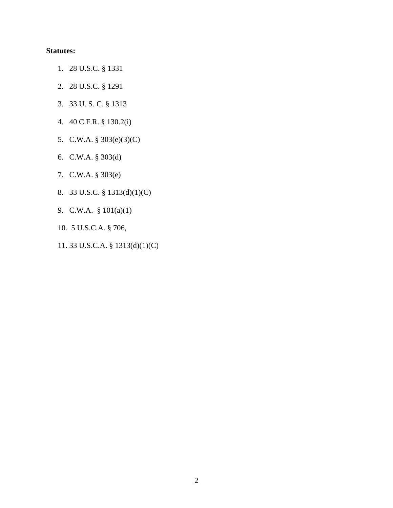# **Statutes:**

- 1. 28 U.S.C. § 1331
- 2. 28 U.S.C. § 1291
- 3. 33 U. S. C. § 1313
- 4. 40 C.F.R. § 130.2(i)
- 5. C.W.A. § 303(e)(3)(C)
- 6. C.W.A. § 303(d)
- 7. C.W.A. § 303(e)
- 8. 33 U.S.C. § 1313(d)(1)(C)
- 9. C.W.A. § 101(a)(1)
- 10. 5 U.S.C.A. § 706,
- 11. 33 U.S.C.A. § 1313(d)(1)(C)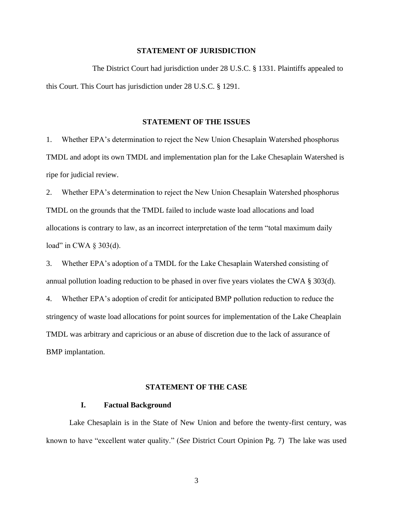#### **STATEMENT OF JURISDICTION**

 The District Court had jurisdiction under 28 U.S.C. § 1331. Plaintiffs appealed to this Court. This Court has jurisdiction under 28 U.S.C. § 1291.

#### **STATEMENT OF THE ISSUES**

1. Whether EPA's determination to reject the New Union Chesaplain Watershed phosphorus TMDL and adopt its own TMDL and implementation plan for the Lake Chesaplain Watershed is ripe for judicial review.

2. Whether EPA's determination to reject the New Union Chesaplain Watershed phosphorus TMDL on the grounds that the TMDL failed to include waste load allocations and load allocations is contrary to law, as an incorrect interpretation of the term "total maximum daily load" in CWA § 303(d).

3. Whether EPA's adoption of a TMDL for the Lake Chesaplain Watershed consisting of annual pollution loading reduction to be phased in over five years violates the CWA § 303(d). 4. Whether EPA's adoption of credit for anticipated BMP pollution reduction to reduce the stringency of waste load allocations for point sources for implementation of the Lake Cheaplain TMDL was arbitrary and capricious or an abuse of discretion due to the lack of assurance of BMP implantation.

#### **STATEMENT OF THE CASE**

#### **I. Factual Background**

Lake Chesaplain is in the State of New Union and before the twenty-first century, was known to have "excellent water quality." (*See* District Court Opinion Pg. 7) The lake was used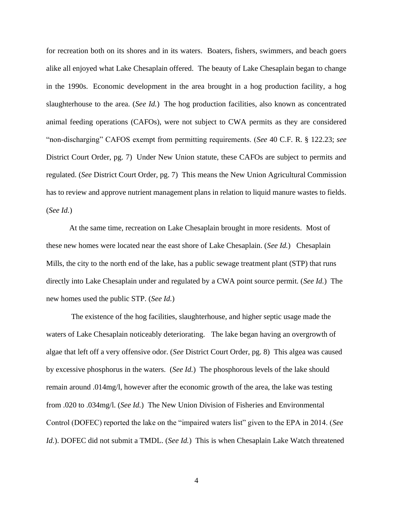for recreation both on its shores and in its waters. Boaters, fishers, swimmers, and beach goers alike all enjoyed what Lake Chesaplain offered. The beauty of Lake Chesaplain began to change in the 1990s. Economic development in the area brought in a hog production facility, a hog slaughterhouse to the area. (*See Id.*) The hog production facilities, also known as concentrated animal feeding operations (CAFOs), were not subject to CWA permits as they are considered "non-discharging" CAFOS exempt from permitting requirements. (*See* 40 C.F. R. § 122.23; *see*  District Court Order, pg. 7) Under New Union statute, these CAFOs are subject to permits and regulated. (*See* District Court Order, pg. 7) This means the New Union Agricultural Commission has to review and approve nutrient management plans in relation to liquid manure wastes to fields. (*See Id.*)

At the same time, recreation on Lake Chesaplain brought in more residents. Most of these new homes were located near the east shore of Lake Chesaplain. (*See Id.*) Chesaplain Mills, the city to the north end of the lake, has a public sewage treatment plant (STP) that runs directly into Lake Chesaplain under and regulated by a CWA point source permit. (*See Id.*) The new homes used the public STP. (*See Id.*)

The existence of the hog facilities, slaughterhouse, and higher septic usage made the waters of Lake Chesaplain noticeably deteriorating. The lake began having an overgrowth of algae that left off a very offensive odor. (*See* District Court Order, pg. 8) This algea was caused by excessive phosphorus in the waters. (*See Id.*) The phosphorous levels of the lake should remain around .014mg/l, however after the economic growth of the area, the lake was testing from .020 to .034mg/l. (*See Id.*) The New Union Division of Fisheries and Environmental Control (DOFEC) reported the lake on the "impaired waters list" given to the EPA in 2014. (*See Id.*). DOFEC did not submit a TMDL. (*See Id.*) This is when Chesaplain Lake Watch threatened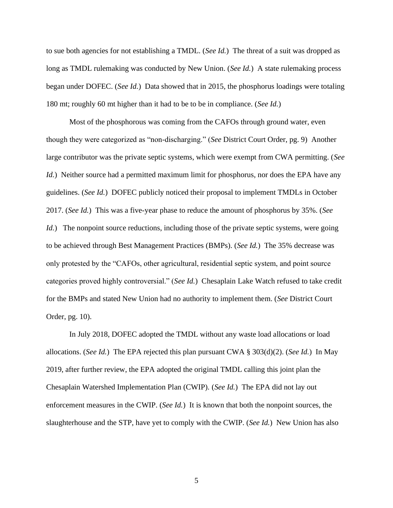to sue both agencies for not establishing a TMDL. (*See Id.*) The threat of a suit was dropped as long as TMDL rulemaking was conducted by New Union. (*See Id.*) A state rulemaking process began under DOFEC. (*See Id.*) Data showed that in 2015, the phosphorus loadings were totaling 180 mt; roughly 60 mt higher than it had to be to be in compliance. (*See Id.*)

Most of the phosphorous was coming from the CAFOs through ground water, even though they were categorized as "non-discharging." (*See* District Court Order, pg. 9) Another large contributor was the private septic systems, which were exempt from CWA permitting. (*See Id.*) Neither source had a permitted maximum limit for phosphorus, nor does the EPA have any guidelines. (*See Id.*) DOFEC publicly noticed their proposal to implement TMDLs in October 2017. (*See Id.*) This was a five-year phase to reduce the amount of phosphorus by 35%. (*See Id.*) The nonpoint source reductions, including those of the private septic systems, were going to be achieved through Best Management Practices (BMPs). (*See Id.*) The 35% decrease was only protested by the "CAFOs, other agricultural, residential septic system, and point source categories proved highly controversial." (*See Id.*) Chesaplain Lake Watch refused to take credit for the BMPs and stated New Union had no authority to implement them. (*See* District Court Order, pg. 10).

In July 2018, DOFEC adopted the TMDL without any waste load allocations or load allocations. (*See Id.*) The EPA rejected this plan pursuant CWA § 303(d)(2). (*See Id.*) In May 2019, after further review, the EPA adopted the original TMDL calling this joint plan the Chesaplain Watershed Implementation Plan (CWIP). (*See Id.*) The EPA did not lay out enforcement measures in the CWIP. (*See Id.*) It is known that both the nonpoint sources, the slaughterhouse and the STP, have yet to comply with the CWIP. (*See Id.*) New Union has also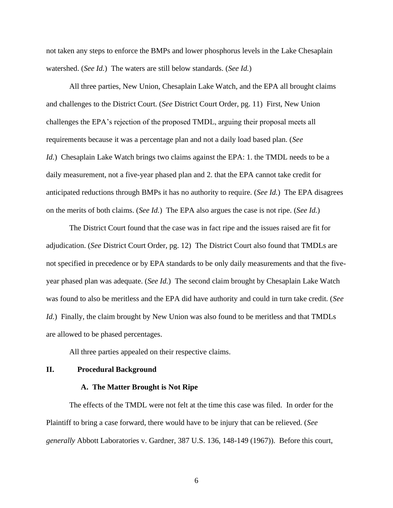not taken any steps to enforce the BMPs and lower phosphorus levels in the Lake Chesaplain watershed. (*See Id.*) The waters are still below standards. (*See Id.*)

All three parties, New Union, Chesaplain Lake Watch, and the EPA all brought claims and challenges to the District Court. (*See* District Court Order, pg. 11) First, New Union challenges the EPA's rejection of the proposed TMDL, arguing their proposal meets all requirements because it was a percentage plan and not a daily load based plan. (*See Id.*) Chesaplain Lake Watch brings two claims against the EPA: 1. the TMDL needs to be a daily measurement, not a five-year phased plan and 2. that the EPA cannot take credit for anticipated reductions through BMPs it has no authority to require. (*See Id.*) The EPA disagrees on the merits of both claims. (*See Id.*) The EPA also argues the case is not ripe. (*See Id.*)

The District Court found that the case was in fact ripe and the issues raised are fit for adjudication. (*See* District Court Order, pg. 12) The District Court also found that TMDLs are not specified in precedence or by EPA standards to be only daily measurements and that the fiveyear phased plan was adequate. (*See Id.*) The second claim brought by Chesaplain Lake Watch was found to also be meritless and the EPA did have authority and could in turn take credit. (*See Id.*) Finally, the claim brought by New Union was also found to be meritless and that TMDLs are allowed to be phased percentages.

All three parties appealed on their respective claims.

#### **II. Procedural Background**

#### **A. The Matter Brought is Not Ripe**

The effects of the TMDL were not felt at the time this case was filed. In order for the Plaintiff to bring a case forward, there would have to be injury that can be relieved. (*See generally* Abbott Laboratories v. Gardner, 387 U.S. 136, 148-149 (1967)). Before this court,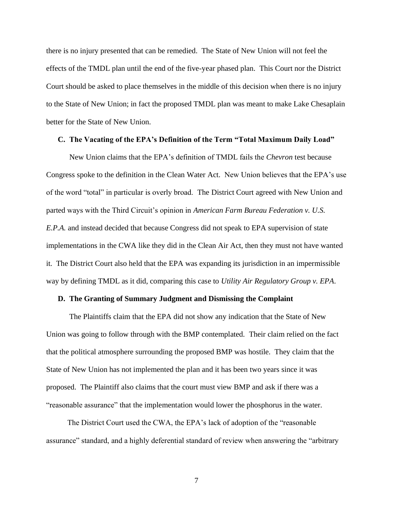there is no injury presented that can be remedied. The State of New Union will not feel the effects of the TMDL plan until the end of the five-year phased plan. This Court nor the District Court should be asked to place themselves in the middle of this decision when there is no injury to the State of New Union; in fact the proposed TMDL plan was meant to make Lake Chesaplain better for the State of New Union.

#### **C. The Vacating of the EPA's Definition of the Term "Total Maximum Daily Load"**

New Union claims that the EPA's definition of TMDL fails the *Chevron* test because Congress spoke to the definition in the Clean Water Act. New Union believes that the EPA's use of the word "total" in particular is overly broad. The District Court agreed with New Union and parted ways with the Third Circuit's opinion in *American Farm Bureau Federation v. U.S. E.P.A.* and instead decided that because Congress did not speak to EPA supervision of state implementations in the CWA like they did in the Clean Air Act, then they must not have wanted it. The District Court also held that the EPA was expanding its jurisdiction in an impermissible way by defining TMDL as it did, comparing this case to *Utility Air Regulatory Group v. EPA*.

#### **D. The Granting of Summary Judgment and Dismissing the Complaint**

 The Plaintiffs claim that the EPA did not show any indication that the State of New Union was going to follow through with the BMP contemplated. Their claim relied on the fact that the political atmosphere surrounding the proposed BMP was hostile. They claim that the State of New Union has not implemented the plan and it has been two years since it was proposed. The Plaintiff also claims that the court must view BMP and ask if there was a "reasonable assurance" that the implementation would lower the phosphorus in the water.

 The District Court used the CWA, the EPA's lack of adoption of the "reasonable assurance" standard, and a highly deferential standard of review when answering the "arbitrary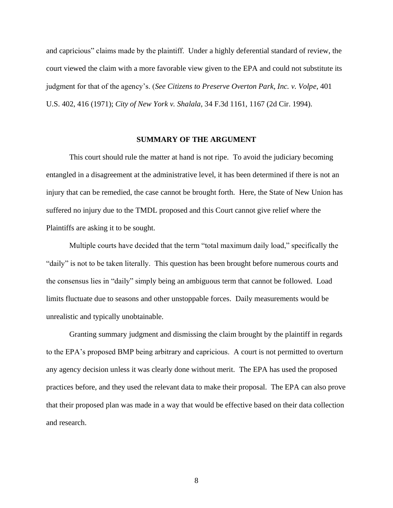and capricious" claims made by the plaintiff. Under a highly deferential standard of review, the court viewed the claim with a more favorable view given to the EPA and could not substitute its judgment for that of the agency's. (*See Citizens to Preserve Overton Park, Inc. v. Volpe*, 401 U.S. 402, 416 (1971); *City of New York v. Shalala*, 34 F.3d 1161, 1167 (2d Cir. 1994).

#### **SUMMARY OF THE ARGUMENT**

This court should rule the matter at hand is not ripe. To avoid the judiciary becoming entangled in a disagreement at the administrative level, it has been determined if there is not an injury that can be remedied, the case cannot be brought forth. Here, the State of New Union has suffered no injury due to the TMDL proposed and this Court cannot give relief where the Plaintiffs are asking it to be sought.

Multiple courts have decided that the term "total maximum daily load," specifically the "daily" is not to be taken literally. This question has been brought before numerous courts and the consensus lies in "daily" simply being an ambiguous term that cannot be followed. Load limits fluctuate due to seasons and other unstoppable forces. Daily measurements would be unrealistic and typically unobtainable.

Granting summary judgment and dismissing the claim brought by the plaintiff in regards to the EPA's proposed BMP being arbitrary and capricious. A court is not permitted to overturn any agency decision unless it was clearly done without merit. The EPA has used the proposed practices before, and they used the relevant data to make their proposal. The EPA can also prove that their proposed plan was made in a way that would be effective based on their data collection and research.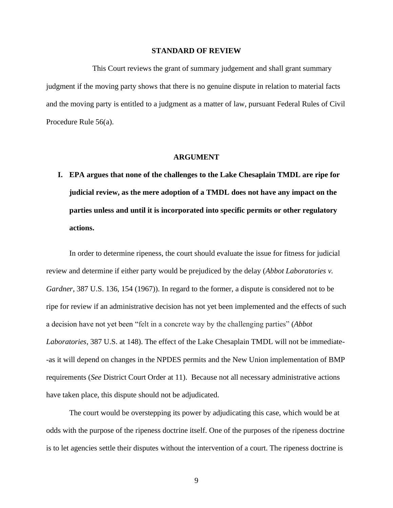#### **STANDARD OF REVIEW**

 This Court reviews the grant of summary judgement and shall grant summary judgment if the moving party shows that there is no genuine dispute in relation to material facts and the moving party is entitled to a judgment as a matter of law, pursuant Federal Rules of Civil Procedure Rule 56(a).

#### **ARGUMENT**

**I. EPA argues that none of the challenges to the Lake Chesaplain TMDL are ripe for judicial review, as the mere adoption of a TMDL does not have any impact on the parties unless and until it is incorporated into specific permits or other regulatory actions.**

In order to determine ripeness, the court should evaluate the issue for fitness for judicial review and determine if either party would be prejudiced by the delay (*Abbot Laboratories v. Gardner*, 387 U.S. 136, 154 (1967)). In regard to the former, a dispute is considered not to be ripe for review if an administrative decision has not yet been implemented and the effects of such a decision have not yet been "felt in a concrete way by the challenging parties" (*Abbot Laboratories*, 387 U.S. at 148). The effect of the Lake Chesaplain TMDL will not be immediate- -as it will depend on changes in the NPDES permits and the New Union implementation of BMP requirements (*See* District Court Order at 11). Because not all necessary administrative actions have taken place, this dispute should not be adjudicated.

The court would be overstepping its power by adjudicating this case, which would be at odds with the purpose of the ripeness doctrine itself. One of the purposes of the ripeness doctrine is to let agencies settle their disputes without the intervention of a court. The ripeness doctrine is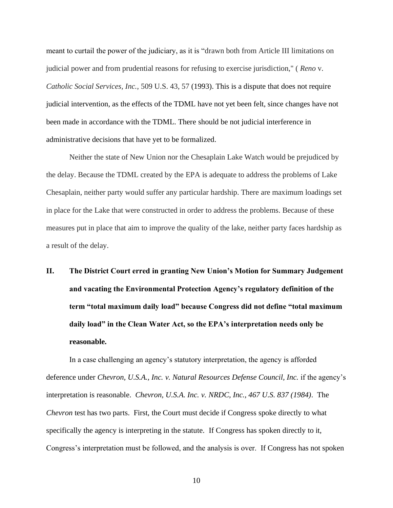meant to curtail the power of the judiciary, as it is "drawn both from Article III limitations on judicial power and from prudential reasons for refusing to exercise jurisdiction," ( *Reno* v. *Catholic Social Services, Inc.,* 509 U.S. 43, 57 (1993). This is a dispute that does not require judicial intervention, as the effects of the TDML have not yet been felt, since changes have not been made in accordance with the TDML. There should be not judicial interference in administrative decisions that have yet to be formalized.

Neither the state of New Union nor the Chesaplain Lake Watch would be prejudiced by the delay. Because the TDML created by the EPA is adequate to address the problems of Lake Chesaplain, neither party would suffer any particular hardship. There are maximum loadings set in place for the Lake that were constructed in order to address the problems. Because of these measures put in place that aim to improve the quality of the lake, neither party faces hardship as a result of the delay.

**II. The District Court erred in granting New Union's Motion for Summary Judgement and vacating the Environmental Protection Agency's regulatory definition of the term "total maximum daily load" because Congress did not define "total maximum daily load" in the Clean Water Act, so the EPA's interpretation needs only be reasonable.**

In a case challenging an agency's statutory interpretation, the agency is afforded deference under *Chevron, U.S.A., Inc. v. Natural Resources Defense Council, Inc.* if the agency's interpretation is reasonable. *Chevron, U.S.A. Inc. v. NRDC, Inc., 467 U.S. 837 (1984)*. The *Chevron* test has two parts. First, the Court must decide if Congress spoke directly to what specifically the agency is interpreting in the statute. If Congress has spoken directly to it, Congress's interpretation must be followed, and the analysis is over. If Congress has not spoken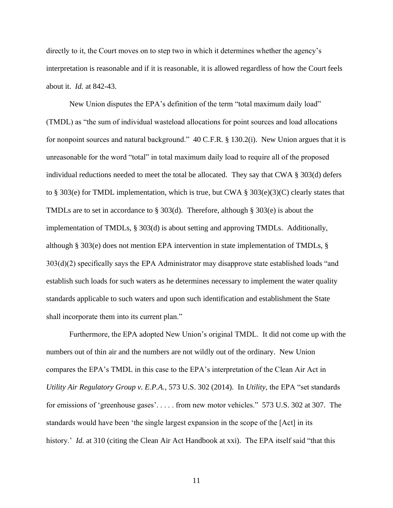directly to it, the Court moves on to step two in which it determines whether the agency's interpretation is reasonable and if it is reasonable, it is allowed regardless of how the Court feels about it. *Id.* at 842-43.

 New Union disputes the EPA's definition of the term "total maximum daily load" (TMDL) as "the sum of individual wasteload allocations for point sources and load allocations for nonpoint sources and natural background." 40 C.F.R. § 130.2(i). New Union argues that it is unreasonable for the word "total" in total maximum daily load to require all of the proposed individual reductions needed to meet the total be allocated. They say that CWA  $\S$  303(d) defers to § 303(e) for TMDL implementation, which is true, but CWA § 303(e)(3)(C) clearly states that TMDLs are to set in accordance to § 303(d). Therefore, although § 303(e) is about the implementation of TMDLs, § 303(d) is about setting and approving TMDLs. Additionally, although § 303(e) does not mention EPA intervention in state implementation of TMDLs, § 303(d)(2) specifically says the EPA Administrator may disapprove state established loads "and establish such loads for such waters as he determines necessary to implement the water quality standards applicable to such waters and upon such identification and establishment the State shall incorporate them into its current plan."

Furthermore, the EPA adopted New Union's original TMDL. It did not come up with the numbers out of thin air and the numbers are not wildly out of the ordinary. New Union compares the EPA's TMDL in this case to the EPA's interpretation of the Clean Air Act in *Utility Air Regulatory Group v. E.P.A.*, 573 U.S. 302 (2014). In *Utility*, the EPA "set standards for emissions of 'greenhouse gases'. . . . . from new motor vehicles." 573 U.S. 302 at 307. The standards would have been 'the single largest expansion in the scope of the [Act] in its history.' *Id.* at 310 (citing the Clean Air Act Handbook at xxi). The EPA itself said "that this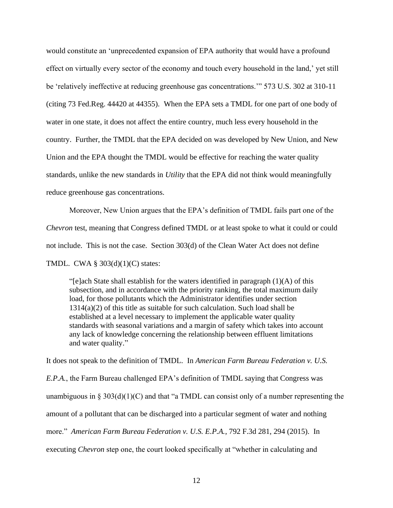would constitute an 'unprecedented expansion of EPA authority that would have a profound effect on virtually every sector of the economy and touch every household in the land,' yet still be 'relatively ineffective at reducing greenhouse gas concentrations.'" 573 U.S. 302 at 310-11 (citing 73 Fed.Reg. 44420 at 44355). When the EPA sets a TMDL for one part of one body of water in one state, it does not affect the entire country, much less every household in the country. Further, the TMDL that the EPA decided on was developed by New Union, and New Union and the EPA thought the TMDL would be effective for reaching the water quality standards, unlike the new standards in *Utility* that the EPA did not think would meaningfully reduce greenhouse gas concentrations.

 Moreover, New Union argues that the EPA's definition of TMDL fails part one of the *Chevron* test, meaning that Congress defined TMDL or at least spoke to what it could or could not include. This is not the case. Section 303(d) of the Clean Water Act does not define TMDL. CWA § 303(d)(1)(C) states:

"[e]ach State shall establish for the waters identified in paragraph  $(1)(A)$  of this subsection, and in accordance with the priority ranking, the total maximum daily load, for those pollutants which the Administrator identifies under section 1314(a)(2) of this title as suitable for such calculation. Such load shall be established at a level necessary to implement the applicable water quality standards with seasonal variations and a margin of safety which takes into account any lack of knowledge concerning the relationship between effluent limitations and water quality."

It does not speak to the definition of TMDL. In *American Farm Bureau Federation v. U.S. E.P.A.*, the Farm Bureau challenged EPA's definition of TMDL saying that Congress was unambiguous in § 303(d)(1)(C) and that "a TMDL can consist only of a number representing the amount of a pollutant that can be discharged into a particular segment of water and nothing more." *American Farm Bureau Federation v. U.S. E.P.A.*, 792 F.3d 281, 294 (2015). In executing *Chevron* step one, the court looked specifically at "whether in calculating and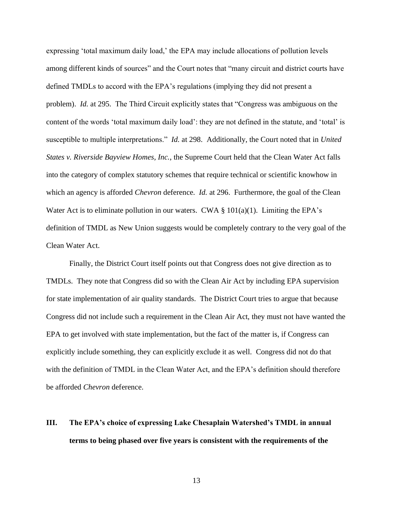expressing 'total maximum daily load,' the EPA may include allocations of pollution levels among different kinds of sources" and the Court notes that "many circuit and district courts have defined TMDLs to accord with the EPA's regulations (implying they did not present a problem). *Id.* at 295. The Third Circuit explicitly states that "Congress was ambiguous on the content of the words 'total maximum daily load': they are not defined in the statute, and 'total' is susceptible to multiple interpretations." *Id.* at 298. Additionally, the Court noted that in *United States v. Riverside Bayview Homes, Inc.*, the Supreme Court held that the Clean Water Act falls into the category of complex statutory schemes that require technical or scientific knowhow in which an agency is afforded *Chevron* deference. *Id.* at 296. Furthermore, the goal of the Clean Water Act is to eliminate pollution in our waters. CWA  $\S$  101(a)(1). Limiting the EPA's definition of TMDL as New Union suggests would be completely contrary to the very goal of the Clean Water Act.

 Finally, the District Court itself points out that Congress does not give direction as to TMDLs. They note that Congress did so with the Clean Air Act by including EPA supervision for state implementation of air quality standards. The District Court tries to argue that because Congress did not include such a requirement in the Clean Air Act, they must not have wanted the EPA to get involved with state implementation, but the fact of the matter is, if Congress can explicitly include something, they can explicitly exclude it as well. Congress did not do that with the definition of TMDL in the Clean Water Act, and the EPA's definition should therefore be afforded *Chevron* deference.

# **III. The EPA's choice of expressing Lake Chesaplain Watershed's TMDL in annual terms to being phased over five years is consistent with the requirements of the**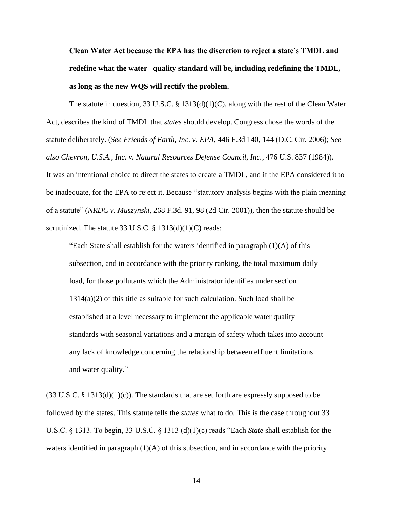**Clean Water Act because the EPA has the discretion to reject a state's TMDL and redefine what the water quality standard will be, including redefining the TMDL, as long as the new WQS will rectify the problem.**

 The statute in question, 33 U.S.C. § 1313(d)(1)(C), along with the rest of the Clean Water Act, describes the kind of TMDL that *states* should develop. Congress chose the words of the statute deliberately. (*See Friends of Earth, Inc. v. EPA*, 446 F.3d 140, 144 (D.C. Cir. 2006); *See also Chevron, U.S.A., Inc. v. Natural Resources Defense Council, Inc.*, 476 U.S. 837 (1984))*.* It was an intentional choice to direct the states to create a TMDL, and if the EPA considered it to be inadequate, for the EPA to reject it. Because "statutory analysis begins with the plain meaning of a statute" (*NRDC v. Muszynski*, 268 F.3d. 91, 98 (2d Cir. 2001)), then the statute should be scrutinized. The statute 33 U.S.C. § 1313(d)(1)(C) reads:

"Each State shall establish for the waters identified in paragraph  $(1)(A)$  of this subsection, and in accordance with the priority ranking, the total maximum daily load, for those pollutants which the Administrator identifies under section 1314(a)(2) of this title as suitable for such calculation. Such load shall be established at a level necessary to implement the applicable water quality standards with seasonal variations and a margin of safety which takes into account any lack of knowledge concerning the relationship between effluent limitations and water quality."

 $(33 \text{ U.S.C.} \S 1313(d)(1)(c))$ . The standards that are set forth are expressly supposed to be followed by the states. This statute tells the *states* what to do. This is the case throughout 33 U.S.C. § 1313. To begin, 33 U.S.C. § 1313 (d)(1)(c) reads "Each *State* shall establish for the waters identified in paragraph  $(1)(A)$  of this subsection, and in accordance with the priority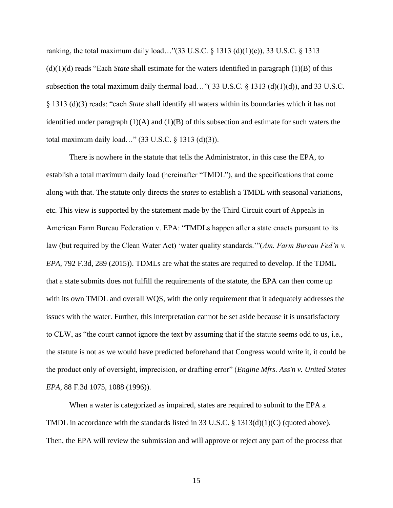ranking, the total maximum daily load..." $(33 \text{ U.S.C.} \S 1313 \text{ (d)}(1)(c))$ , 33 U.S.C.  $\S 1313$ (d)(1)(d) reads "Each *State* shall estimate for the waters identified in paragraph (1)(B) of this subsection the total maximum daily thermal load…"( $33 \text{ U.S.C.} \$  $(3113 \text{ (d)}(1)(d))$ , and  $33 \text{ U.S.C.}$ § 1313 (d)(3) reads: "each *State* shall identify all waters within its boundaries which it has not identified under paragraph  $(1)(A)$  and  $(1)(B)$  of this subsection and estimate for such waters the total maximum daily load…" (33 U.S.C. § 1313 (d)(3)).

There is nowhere in the statute that tells the Administrator, in this case the EPA, to establish a total maximum daily load (hereinafter "TMDL"), and the specifications that come along with that. The statute only directs the *states* to establish a TMDL with seasonal variations, etc. This view is supported by the statement made by the Third Circuit court of Appeals in American Farm Bureau Federation v. EPA: "TMDLs happen after a state enacts pursuant to its law (but required by the Clean Water Act) 'water quality standards.'"(*Am. Farm Bureau Fed'n v. EPA*, 792 F.3d, 289 (2015)). TDMLs are what the states are required to develop. If the TDML that a state submits does not fulfill the requirements of the statute, the EPA can then come up with its own TMDL and overall WQS, with the only requirement that it adequately addresses the issues with the water. Further, this interpretation cannot be set aside because it is unsatisfactory to CLW, as "the court cannot ignore the text by assuming that if the statute seems odd to us, i.e., the statute is not as we would have predicted beforehand that Congress would write it, it could be the product only of oversight, imprecision, or drafting error" (*Engine Mfrs. Ass'n v. United States EPA*, 88 F.3d 1075, 1088 (1996)).

When a water is categorized as impaired, states are required to submit to the EPA a TMDL in accordance with the standards listed in 33 U.S.C. § 1313(d)(1)(C) (quoted above). Then, the EPA will review the submission and will approve or reject any part of the process that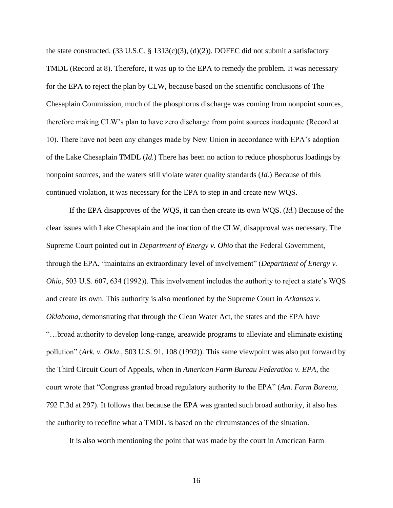the state constructed. (33 U.S.C. § 1313(c)(3), (d)(2)). DOFEC did not submit a satisfactory TMDL (Record at 8). Therefore, it was up to the EPA to remedy the problem. It was necessary for the EPA to reject the plan by CLW, because based on the scientific conclusions of The Chesaplain Commission, much of the phosphorus discharge was coming from nonpoint sources, therefore making CLW's plan to have zero discharge from point sources inadequate (Record at 10). There have not been any changes made by New Union in accordance with EPA's adoption of the Lake Chesaplain TMDL (*Id.*) There has been no action to reduce phosphorus loadings by nonpoint sources, and the waters still violate water quality standards (*Id.*) Because of this continued violation, it was necessary for the EPA to step in and create new WQS.

If the EPA disapproves of the WQS, it can then create its own WQS. (*Id.*) Because of the clear issues with Lake Chesaplain and the inaction of the CLW, disapproval was necessary. The Supreme Court pointed out in *Department of Energy v. Ohio* that the Federal Government, through the EPA, "maintains an extraordinary level of involvement" (*Department of Energy v. Ohio*, 503 U.S. 607, 634 (1992)). This involvement includes the authority to reject a state's WQS and create its own. This authority is also mentioned by the Supreme Court in *Arkansas v. Oklahoma*, demonstrating that through the Clean Water Act, the states and the EPA have "…broad authority to develop long-range, areawide programs to alleviate and eliminate existing pollution" (*Ark. v. Okla*., 503 U.S. 91, 108 (1992)). This same viewpoint was also put forward by the Third Circuit Court of Appeals, when in *American Farm Bureau Federation v. EPA*, the court wrote that "Congress granted broad regulatory authority to the EPA" (*Am. Farm Bureau*, 792 F.3d at 297). It follows that because the EPA was granted such broad authority, it also has the authority to redefine what a TMDL is based on the circumstances of the situation.

It is also worth mentioning the point that was made by the court in American Farm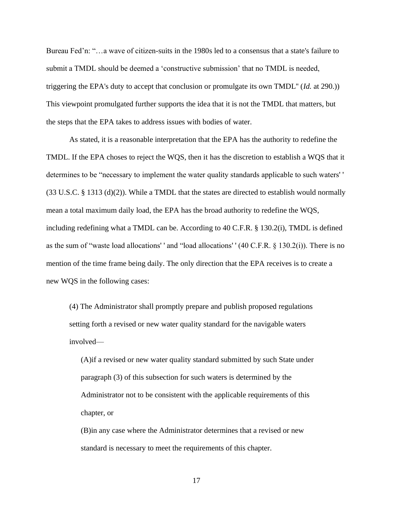Bureau Fed'n: "…a wave of citizen-suits in the 1980s led to a consensus that a state's failure to submit a TMDL should be deemed a 'constructive submission' that no TMDL is needed, triggering the EPA's duty to accept that conclusion or promulgate its own TMDL'' (*Id.* at 290.)) This viewpoint promulgated further supports the idea that it is not the TMDL that matters, but the steps that the EPA takes to address issues with bodies of water.

As stated, it is a reasonable interpretation that the EPA has the authority to redefine the TMDL. If the EPA choses to reject the WQS, then it has the discretion to establish a WQS that it determines to be "necessary to implement the water quality standards applicable to such waters' '  $(33 \text{ U.S.C.} \text{ § } 1313 \text{ (d)}(2))$ . While a TMDL that the states are directed to establish would normally mean a total maximum daily load, the EPA has the broad authority to redefine the WQS, including redefining what a TMDL can be. According to 40 C.F.R. § 130.2(i), TMDL is defined as the sum of "waste load allocations' ' and "load allocations' ' (40 C.F.R. § 130.2(i)). There is no mention of the time frame being daily. The only direction that the EPA receives is to create a new WQS in the following cases:

(4) The Administrator shall promptly prepare and publish proposed regulations setting forth a revised or new water quality standard for the navigable waters involved—

(A)if a revised or new water quality standard submitted by such State under paragraph (3) of this subsection for such waters is determined by the Administrator not to be consistent with the applicable requirements of this chapter, or

(B)in any case where the Administrator determines that a revised or new standard is necessary to meet the requirements of this chapter.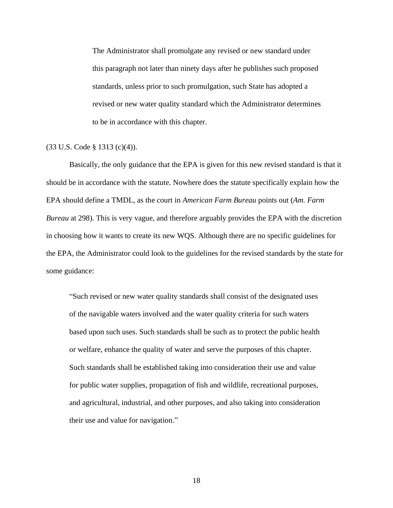The Administrator shall promulgate any revised or new standard under this paragraph not later than ninety days after he publishes such proposed standards, unless prior to such promulgation, such State has adopted a revised or new water quality standard which the Administrator determines to be in accordance with this chapter.

#### (33 U.S. Code § 1313 (c)(4)).

Basically, the only guidance that the EPA is given for this new revised standard is that it should be in accordance with the statute. Nowhere does the statute specifically explain how the EPA should define a TMDL, as the court in *American Farm Bureau* points out (*Am. Farm Bureau* at 298). This is very vague, and therefore arguably provides the EPA with the discretion in choosing how it wants to create its new WQS. Although there are no specific guidelines for the EPA, the Administrator could look to the guidelines for the revised standards by the state for some guidance:

"Such revised or new water quality standards shall consist of the designated uses of the navigable waters involved and the water quality criteria for such waters based upon such uses. Such standards shall be such as to protect the public health or welfare, enhance the quality of water and serve the purposes of this chapter. Such standards shall be established taking into consideration their use and value for public water supplies, propagation of fish and wildlife, recreational purposes, and agricultural, industrial, and other purposes, and also taking into consideration their use and value for navigation."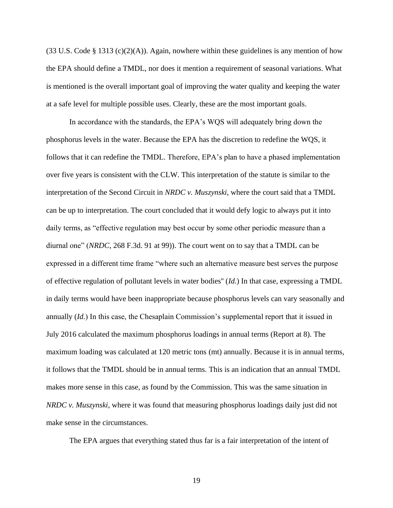$(33 \text{ U.S. Code } § 1313 (c)(2)(A))$ . Again, nowhere within these guidelines is any mention of how the EPA should define a TMDL, nor does it mention a requirement of seasonal variations. What is mentioned is the overall important goal of improving the water quality and keeping the water at a safe level for multiple possible uses. Clearly, these are the most important goals.

In accordance with the standards, the EPA's WQS will adequately bring down the phosphorus levels in the water. Because the EPA has the discretion to redefine the WQS, it follows that it can redefine the TMDL. Therefore, EPA's plan to have a phased implementation over five years is consistent with the CLW. This interpretation of the statute is similar to the interpretation of the Second Circuit in *NRDC v. Muszynski*, where the court said that a TMDL can be up to interpretation. The court concluded that it would defy logic to always put it into daily terms, as "effective regulation may best occur by some other periodic measure than a diurnal one" (*NRDC*, 268 F.3d. 91 at 99)). The court went on to say that a TMDL can be expressed in a different time frame "where such an alternative measure best serves the purpose of effective regulation of pollutant levels in water bodies'' (*Id.*) In that case, expressing a TMDL in daily terms would have been inappropriate because phosphorus levels can vary seasonally and annually (*Id.*) In this case, the Chesaplain Commission's supplemental report that it issued in July 2016 calculated the maximum phosphorus loadings in annual terms (Report at 8). The maximum loading was calculated at 120 metric tons (mt) annually. Because it is in annual terms, it follows that the TMDL should be in annual terms. This is an indication that an annual TMDL makes more sense in this case, as found by the Commission. This was the same situation in *NRDC v. Muszynski*, where it was found that measuring phosphorus loadings daily just did not make sense in the circumstances.

The EPA argues that everything stated thus far is a fair interpretation of the intent of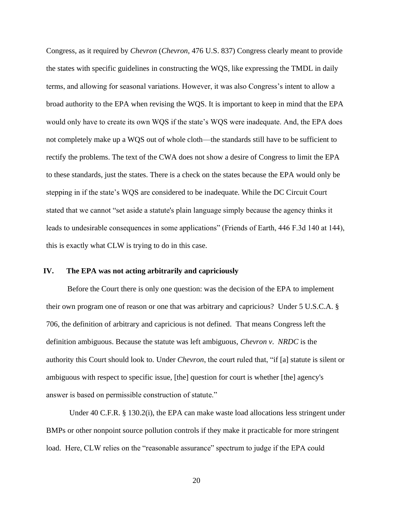Congress, as it required by *Chevron* (*Chevron*, 476 U.S. 837) Congress clearly meant to provide the states with specific guidelines in constructing the WQS, like expressing the TMDL in daily terms, and allowing for seasonal variations. However, it was also Congress's intent to allow a broad authority to the EPA when revising the WQS. It is important to keep in mind that the EPA would only have to create its own WQS if the state's WQS were inadequate. And, the EPA does not completely make up a WQS out of whole cloth—the standards still have to be sufficient to rectify the problems. The text of the CWA does not show a desire of Congress to limit the EPA to these standards, just the states. There is a check on the states because the EPA would only be stepping in if the state's WQS are considered to be inadequate. While the DC Circuit Court stated that we cannot "set aside a statute's plain language simply because the agency thinks it leads to undesirable consequences in some applications" (Friends of Earth, 446 F.3d 140 at 144), this is exactly what CLW is trying to do in this case.

#### **IV. The EPA was not acting arbitrarily and capriciously**

 Before the Court there is only one question: was the decision of the EPA to implement their own program one of reason or one that was arbitrary and capricious? Under 5 U.S.C.A. § 706, the definition of arbitrary and capricious is not defined. That means Congress left the definition ambiguous. Because the statute was left ambiguous, *Chevron v*. *NRDC* is the authority this Court should look to*.* Under *Chevron*, the court ruled that, "if [a] statute is silent or ambiguous with respect to specific issue, [the] question for court is whether [the] agency's answer is based on permissible construction of statute."

 Under 40 C.F.R. § 130.2(i), the EPA can make waste load allocations less stringent under BMPs or other nonpoint source pollution controls if they make it practicable for more stringent load. Here, CLW relies on the "reasonable assurance" spectrum to judge if the EPA could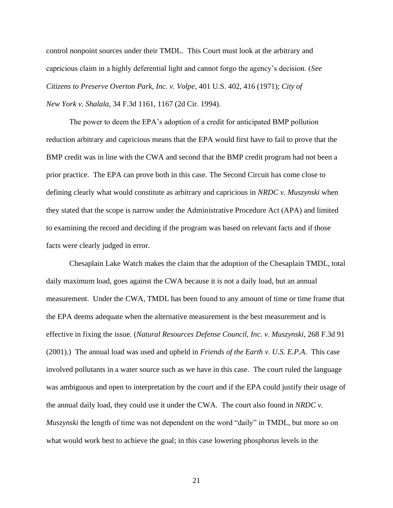control nonpoint sources under their TMDL. This Court must look at the arbitrary and capricious claim in a highly deferential light and cannot forgo the agency's decision. (*See Citizens to Preserve Overton Park, Inc. v. Volpe*, 401 U.S. 402, 416 (1971); *City of New York v. Shalala*, 34 F.3d 1161, 1167 (2d Cir. 1994).

 The power to deem the EPA's adoption of a credit for anticipated BMP pollution reduction arbitrary and capricious means that the EPA would first have to fail to prove that the BMP credit was in line with the CWA and second that the BMP credit program had not been a prior practice. The EPA can prove both in this case. The Second Circuit has come close to defining clearly what would constitute as arbitrary and capricious in *NRDC v. Muszynski* when they stated that the scope is narrow under the Administrative Procedure Act (APA) and limited to examining the record and deciding if the program was based on relevant facts and if those facts were clearly judged in error.

 Chesaplain Lake Watch makes the claim that the adoption of the Chesaplain TMDL, total daily maximum load, goes against the CWA because it is not a daily load, but an annual measurement. Under the CWA, TMDL has been found to any amount of time or time frame that the EPA deems adequate when the alternative measurement is the best measurement and is effective in fixing the issue. (*Natural Resources Defense Council, Inc. v. Muszynski*, 268 F.3d 91 (2001).) The annual load was used and upheld in *Friends of the Earth v. U.S. E.P.A*. This case involved pollutants in a water source such as we have in this case. The court ruled the language was ambiguous and open to interpretation by the court and if the EPA could justify their usage of the annual daily load, they could use it under the CWA. The court also found in *NRDC v. Muszynski* the length of time was not dependent on the word "daily" in TMDL, but more so on what would work best to achieve the goal; in this case lowering phosphorus levels in the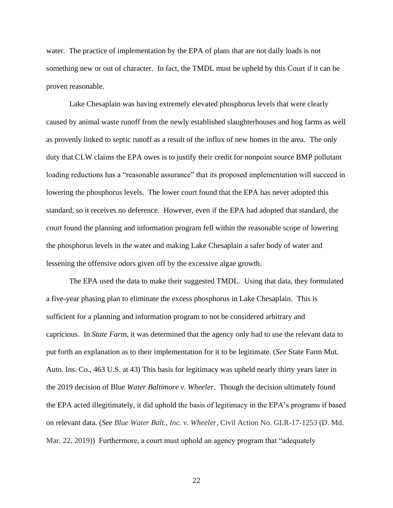water. The practice of implementation by the EPA of plans that are not daily loads is not something new or out of character. In fact, the TMDL must be upheld by this Court if it can be proven reasonable.

 Lake Chesaplain was having extremely elevated phosphorus levels that were clearly caused by animal waste runoff from the newly established slaughterhouses and hog farms as well as provenly linked to septic runoff as a result of the influx of new homes in the area. The only duty that CLW claims the EPA owes is to justify their credit for nonpoint source BMP pollutant loading reductions has a "reasonable assurance" that its proposed implementation will succeed in lowering the phosphorus levels. The lower court found that the EPA has never adopted this standard, so it receives no deference. However, even if the EPA had adopted that standard, the court found the planning and information program fell within the reasonable scope of lowering the phosphorus levels in the water and making Lake Chesaplain a safer body of water and lessening the offensive odors given off by the excessive algae growth.

 The EPA used the data to make their suggested TMDL. Using that data, they formulated a five-year phasing plan to eliminate the excess phosphorus in Lake Chesaplain. This is sufficient for a planning and information program to not be considered arbitrary and capricious. In *State Far*m, it was determined that the agency only had to use the relevant data to put forth an explanation as to their implementation for it to be legitimate. (*See* State Farm Mut. Auto. Ins. Co., 463 U.S. at 43) This basis for legitimacy was upheld nearly thirty years later in the 2019 decision of Blue *Water Baltimore v. Wheeler*. Though the decision ultimately found the EPA acted illegitimately, it did uphold the basis of legitimacy in the EPA's programs if based on relevant data. (*See Blue Water Balt., Inc. v. Wheeler*, Civil Action No. GLR-17-1253 (D. Md. Mar. 22, 2019)) Furthermore, a court must uphold an agency program that "adequately